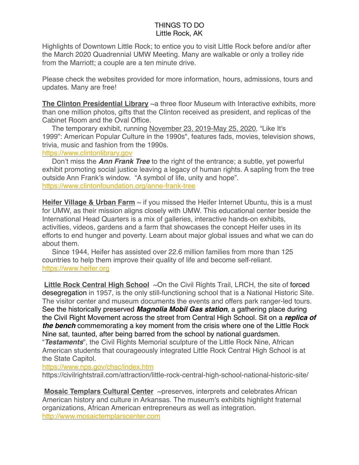Highlights of Downtown Little Rock; to entice you to visit Little Rock before and/or after the March 2020 Quadrennial UMW Meeting. Many are walkable or only a trolley ride from the Marriott; a couple are a ten minute drive.

Please check the websites provided for more information, hours, admissions, tours and updates. Many are free!

**The Clinton Presidential Library** ~a three floor Museum with Interactive exhibits, more than one million photos, gifts that the Clinton received as president, and replicas of the Cabinet Room and the Oval Office.

 The temporary exhibit, running November 23, 2019-May 25, 2020, "Like It's 1999": American Popular Culture in the 1990s", features fads, movies, television shows, trivia, music and fashion from the 1990s.

<https://www.clintonlibrary.gov>

 Don't miss the *Ann Frank Tree* to the right of the entrance; a subtle, yet powerful exhibit promoting social justice leaving a legacy of human rights. A sapling from the tree outside Ann Frank's window. "A symbol of life, unity and hope". <https://www.clintonfoundation.org/anne-frank-tree>

**Heifer Village & Urban Farm** ~ if you missed the Heifer Internet Ubuntu, this is a must for UMW, as their mission aligns closely with UMW. This educational center beside the International Head Quarters is a mix of galleries, interactive hands-on exhibits, activities, videos, gardens and a farm that showcases the concept Heifer uses in its efforts to end hunger and poverty. Learn about major global issues and what we can do about them.

 Since 1944, Heifer has assisted over 22.6 million families from more than 125 countries to help them improve their quality of life and become self-reliant. <https://www.heifer.org>

Little Rock Central High School ~On the Civil Rights Trail, LRCH, the site of forced [desegregation](https://en.m.wikipedia.org/wiki/Little_Rock_Nine) in 1957, is the only still-functioning school that is a National Historic Site. The visitor center and museum documents the events and offers park ranger-led tours. See the historically preserved *Magnolia Mobil Gas station*, a gathering place during the Civil Right Movement across the street from Central High School. Sit on a *replica of the bench* commemorating a key moment from the crisis where one of the Little Rock Nine sat, taunted, after being barred from the school by national guardsmen.

"*Testaments*", the Civil Rights Memorial sculpture of the Little Rock Nine, African American students that courageously integrated Little Rock Central High School is at the State Capitol.

<https://www.nps.gov/chsc/index.htm>

https://civilrightstrail.com/attraction/little-rock-central-high-school-national-historic-site/

**Mosaic Templars Cultural Center** ~preserves, interprets and celebrates African American history and culture in Arkansas. The museum's exhibits highlight fraternal organizations, African American entrepreneurs as well as integration. <http://www.mosaictemplarscenter.com>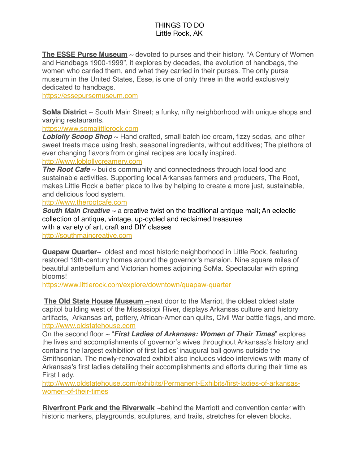**The ESSE Purse Museum** ~ devoted to purses and their history. "A Century of Women and Handbags 1900-1999", it explores by decades, the evolution of handbags, the women who carried them, and what they carried in their purses. The only purse museum in the United States, Esse, is one of only three in the world exclusively dedicated to handbags.

<https://essepursemuseum.com>

**SoMa District** ~ South Main Street; a funky, nifty neighborhood with unique shops and varying restaurants.

<https://www.somalittlerock.com>

**Loblolly Scoop Shop** ~ Hand crafted, small batch ice cream, fizzy sodas, and other sweet treats made using fresh, seasonal ingredients, without additives; The plethora of ever changing flavors from original recipes are locally inspired.

#### <http://www.loblollycreamery.com>

*The Root Cafe* ~ builds community and connectedness through local food and sustainable activities. Supporting local Arkansas farmers and producers, The Root, makes Little Rock a better place to live by helping to create a more just, sustainable, and delicious food system.

<http://www.therootcafe.com>

*South Main Creative* ~ a creative twist on the traditional antique mall; An eclectic collection of antique, vintage, up-cycled and reclaimed treasures with a variety of art, craft and DIY classes <http://southmaincreative.com>

**Quapaw Quarter**~ oldest and most historic neighborhood in Little Rock, featuring restored 19th-century homes around the governor's mansion. Nine square miles of beautiful antebellum and Victorian homes adjoining SoMa. Spectacular with spring blooms!

<https://www.littlerock.com/explore/downtown/quapaw-quarter>

**The Old State House Museum ~**next door to the Marriot, the oldest oldest state capitol building west of the Mississippi River, displays Arkansas culture and history artifacts, Arkansas art, pottery, African-American quilts, Civil War battle flags, and more. <http://www.oldstatehouse.com>

On the second floor ~ "*First Ladies of Arkansas: Women of Their Times*" explores the lives and accomplishments of governor's wives throughout Arkansas's history and contains the largest exhibition of first ladies' inaugural ball gowns outside the Smithsonian. The newly-renovated exhibit also includes video interviews with many of Arkansas's first ladies detailing their accomplishments and efforts during their time as First Lady.

[http://www.oldstatehouse.com/exhibits/Permanent-Exhibits/first-ladies-of-arkansas](http://www.oldstatehouse.com/exhibits/Permanent-Exhibits/first-ladies-of-arkansas-women-of-their-times)[women-of-their-times](http://www.oldstatehouse.com/exhibits/Permanent-Exhibits/first-ladies-of-arkansas-women-of-their-times)

**Riverfront Park and the Riverwalk** ~behind the Marriott and convention center with historic markers, playgrounds, sculptures, and trails, stretches for eleven blocks.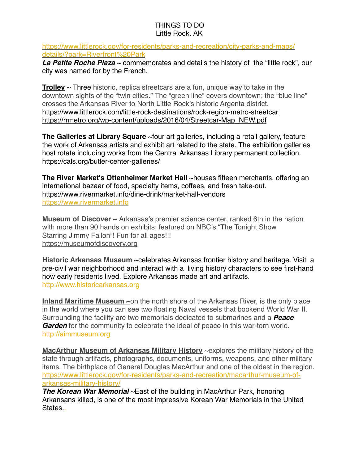[https://www.littlerock.gov/for-residents/parks-and-recreation/city-parks-and-maps/](https://www.littlerock.gov/for-residents/parks-and-recreation/city-parks-and-maps/details/?park=Riverfront%20Park) [details/?park=Riverfront%20Park](https://www.littlerock.gov/for-residents/parks-and-recreation/city-parks-and-maps/details/?park=Riverfront%20Park)

**La Petite Roche Plaza** ~ commemorates and details the history of the "little rock", our city was named for by the French.

**Trolley** ~ Three historic, replica streetcars are a fun, unique way to take in the downtown sights of the "twin cities." The "green line" covers downtown; the "blue line" crosses the Arkansas River to North Little Rock's historic Argenta district. <https://www.littlerock.com/little-rock-destinations/rock-region-metro-streetcar> [https://rrmetro.org/wp-content/uploads/2016/04/Streetcar-Map\\_NEW.pdf](https://rrmetro.org/wp-content/uploads/2016/04/Streetcar-Map_NEW.pdf)

**The Galleries at Library Square** ~four art galleries, including a retail gallery, feature the work of Arkansas artists and exhibit art related to the state. The exhibition galleries host rotate including works from the Central Arkansas Library permanent collection. https://cals.org/butler-center-galleries/

**The River Market's Ottenheimer Market Hall** ~houses fifteen merchants, offering an international bazaar of food, specialty items, coffees, and fresh take-out. https://www.rivermarket.info/dine-drink/market-hall-vendors <https://www.rivermarket.info>

**Museum of Discover ~** Arkansas's premier science center, ranked 6th in the nation with more than 90 hands on exhibits; featured on NBC's "The Tonight Show Starring Jimmy Fallon"! Fun for all ages!!! <https://museumofdiscovery.org>

**Historic Arkansas Museum** ~celebrates Arkansas frontier history and heritage. Visit a [pre-civil war](http://www.historicarkansas.org/Exhibits/historic-homes) neighborhood and interact with a [living history](http://www.historicarkansas.org/Plan-Your-Visit/living-history) characters to see first-hand how early residents lived. Explore [Arkansas made](http://www.historicarkansas.org/Collections-and-Research/all-collections) art and artifacts. <http://www.historicarkansas.org>

**Inland Maritime Museum ~**on the north shore of the Arkansas River, is the only place in the world where you can see two floating Naval vessels that bookend World War II. Surrounding the facility are two memorials dedicated to submarines and a *[Peace](http://aimmuseum.org/beacon-of-peace-hope/)  [Garden](http://aimmuseum.org/beacon-of-peace-hope/)* for the community to celebrate the ideal of peace in this war-torn world. <http://aimmuseum.org>

**MacArthur Museum of Arkansas Military History** ~explores the military history of the state through artifacts, photographs, documents, uniforms, weapons, and other military items. The birthplace of General Douglas MacArthur and one of the oldest in the region. [https://www.littlerock.gov/for-residents/parks-and-recreation/macarthur-museum-of](https://www.littlerock.gov/for-residents/parks-and-recreation/macarthur-museum-of-arkansas-military-history/)[arkansas-military-history/](https://www.littlerock.gov/for-residents/parks-and-recreation/macarthur-museum-of-arkansas-military-history/)

*The Korean War Memorial* ~East of the building in MacArthur Park, honoring Arkansans killed, is one of the most impressive Korean War Memorials in the United States.